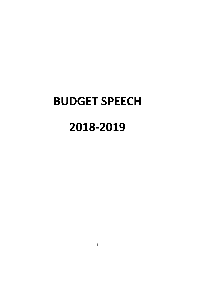# **BUDGET SPEECH**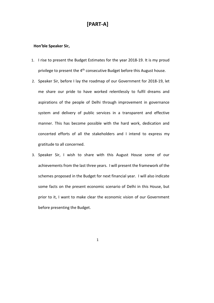# **[PARTA]**

#### **Hon'ble Speaker Sir,**

- 1. I rise to present the Budget Estimates for the year 2018-19. It is my proud privilege to present the 4<sup>th</sup> consecutive Budget before this August house.
- 2. Speaker Sir, before I lay the roadmap of our Government for 2018-19, let me share our pride to have worked relentlessly to fulfil dreams and aspirations of the people of Delhi through improvement in governance system and delivery of public services in a transparent and effective manner. This has become possible with the hard work, dedication and concerted efforts of all the stakeholders and I intend to express my gratitude to all concerned.
- 3. Speaker Sir, I wish to share with this August House some of our achievements from the last three years. I will present the framework of the schemes proposed in the Budget for next financial year. I will also indicate some facts on the present economic scenario of Delhi in this House, but prior to it, I want to make clear the economic vision of our Government before presenting the Budget.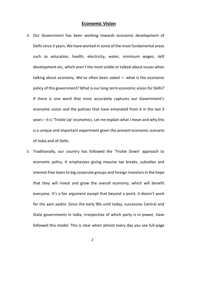# **Economic Vision**

- 4. Our Government has been working towards economic development of Delhi since 3 years. We have worked in some of the most fundamental areas such as education, health, electricity, water, minimum wages, skill development etc, which aren't the most visible or talked-about issues when talking about economy. We've often been asked — what is the economic policy of this government? What is our long-term economic vision for Delhi? If there is one word that most accurately captures our Government's economic vision and the policies that have emanated from it in the last 3 years – it is 'Trickle Up' economics. Let me explain what I mean and why this is a unique and important experiment given the present economic scenario of India and of Delhi.
- 5. Traditionally, our country has followed the 'Trickle Down' approach to economic policy. It emphasizes giving massive tax breaks, subsidies and interest-free loans to big corporate groups and foreign investors in the hope that they will invest and grow the overall economy, which will benefit everyone. It's a fair argument except that beyond a point, it doesn't work for the aam aadmi. Since the early 90s until today, successive Central and State governments in India, irrespective of which party is in power, have followed this model. This is clear when almost every day you see full-page
	- 2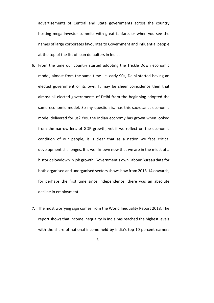advertisements of Central and State governments across the country hosting mega-investor summits with great fanfare, or when you see the names of large corporates favourites to Government and influential people at the top of the list of loan defaulters in India.

- 6. From the time our country started adopting the Trickle Down economic model, almost from the same time i.e. early 90s, Delhi started having an elected government of its own. It may be sheer coincidence then that almost all elected governments of Delhi from the beginning adopted the same economic model. So my question is, has this sacrosanct economic model delivered for us? Yes, the Indian economy has grown when looked from the narrow lens of GDP growth, yet if we reflect on the economic condition of our people, it is clear that as a nation we face critical development challenges. It is well known now that we are in the midst of a historic slowdown in job growth. Government's own Labour Bureau data for both organised and unorganised sectors shows how from 2013-14 onwards, for perhaps the first time since independence, there was an absolute decline in employment.
- 7. The most worrying sign comes from the World Inequality Report 2018. The report shows that income inequality in India has reached the highest levels with the share of national income held by India's top 10 percent earners
	- 3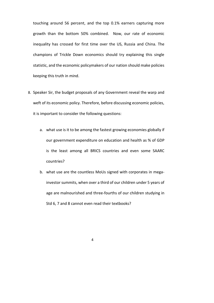touching around 56 percent, and the top 0.1% earners capturing more growth than the bottom 50% combined. Now, our rate of economic inequality has crossed for first time over the US, Russia and China. The champions of Trickle Down economics should try explaining this single statistic, and the economic policymakers of our nation should make policies keeping this truth in mind.

- 8. Speaker Sir, the budget proposals of any Government reveal the warp and weft of its economic policy. Therefore, before discussing economic policies, it is important to consider the following questions:
	- a. what use is it to be among the fastest growing economies globally if our government expenditure on education and health as % of GDP is the least among all BRICS countries and even some SAARC countries?
	- b. what use are the countless MoUs signed with corporates in megainvestor summits, when over a third of our children under 5 years of age are malnourished and three-fourths of our children studying in Std 6, 7 and 8 cannot even read their textbooks?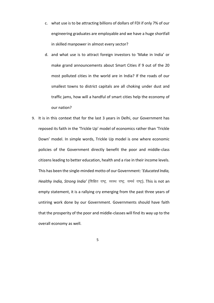- c. what use is to be attracting billions of dollars of FDI if only 7% of our engineering graduates are employable and we have a huge shortfall in skilled manpower in almost every sector?
- d. and what use is to attract foreign investors to 'Make in India' or make grand announcements about Smart Cities if 9 out of the 20 most polluted cities in the world are in India? If the roads of our smallest towns to district capitals are all choking under dust and traffic jams, how will a handful of smart cities help the economy of our nation?
- 9. It is in this context that for the last 3 years in Delhi, our Government has reposed its faith in the 'Trickle Up' model of economics rather than 'Trickle Down' model. In simple words, Trickle Up model is one where economic policies of the Government directly benefit the poor and middle-class citizens leading to better education, health and a rise in their income levels. This has been the single-minded motto of our Government: 'Educated India, Healthy *India, Strong India'* (शिक्षित राष्ट्र, स्वस्थ राष्ट्र, समर्थ राष्ट्र). This is not an empty statement, it is a rallying cry emerging from the past three years of untiring work done by our Government. Governments should have faith that the prosperity of the poor and middle-classes will find its way up to the overall economy as well.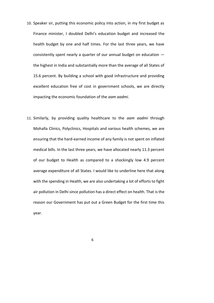- 10. Speaker sir, putting this economic policy into action, in my first budget as Finance minister, I doubled Delhi's education budget and increased the health budget by one and half times. For the last three years, we have consistently spent nearly a quarter of our annual budget on education the highest in India and substantially more than the average of all States of 15.6 percent. By building a school with good infrastructure and providing excellent education free of cost in government schools, we are directly impacting the economic foundation of the *aam aadmi*.
- 11. Similarly, by providing quality healthcare to the *aam aadmi* through Mohalla Clinics, Polyclinics, Hospitals and various health schemes, we are ensuring that the hard-earned income of any family is not spent on inflated medical bills. In the last three years, we have allocated nearly 11.3 percent of our budget to Health as compared to a shockingly low 4.9 percent average expenditure of all States. I would like to underline here that along with the spending in Health, we are also undertaking a lot of efforts to fight air pollution in Delhi since pollution has a direct effect on health. That is the reason our Government has put out a Green Budget for the first time this year.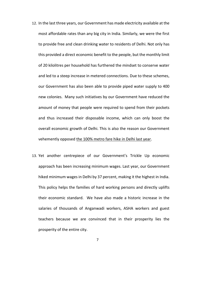- 12. In the last three years, our Government has made electricity available at the most affordable rates than any big city in India. Similarly, we were the first to provide free and clean drinking water to residents of Delhi. Not only has this provided a direct economic benefit to the people, but the monthly limit of 20 kilolitres per household has furthered the mindset to conserve water and led to a steep increase in metered connections. Due to these schemes, our Government has also been able to provide piped water supply to 400 new colonies. Many such initiatives by our Government have reduced the amount of money that people were required to spend from their pockets and thus increased their disposable income, which can only boost the overall economic growth of Delhi. This is also the reason our Government vehemently opposed the 100% metro fare hike in Delhi last year.
- 13. Yet another centrepiece of our Government's Trickle Up economic approach has been increasing minimum wages. Last year, our Government hiked minimum wages in Delhi by 37 percent, making it the highest in India. This policy helps the families of hard working persons and directly uplifts their economic standard. We have also made a historic increase in the salaries of thousands of Anganwadi workers, ASHA workers and guest teachers because we are convinced that in their prosperity lies the prosperity of the entire city.
	- 7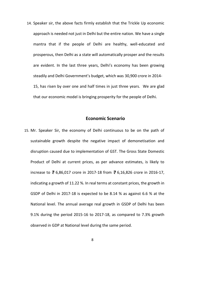14. Speaker sir, the above facts firmly establish that the Trickle Up economic approach is needed not just in Delhi but the entire nation. We have a single mantra that if the people of Delhi are healthy, well-educated and prosperous, then Delhi as a state will automatically prosper and the results are evident. In the last three years, Delhi's economy has been growing steadily and Delhi Government's budget, which was 30,900 crore in 2014 15, has risen by over one and half times in just three years. We are glad that our economic model is bringing prosperity for the people of Delhi.

# **Economic Scenario**

- 15. Mr. Speaker Sir, the economy of Delhi continuous to be on the path of sustainable growth despite the negative impact of demonetisation and disruption caused due to implementation of GST. The Gross State Domestic Product of Delhi at current prices, as per advance estimates, is likely to increase to ₹ 6,86,017 crore in 2017-18 from ₹ 6,16,826 crore in 2016-17, indicating a growth of 11.22 %. In real terms at constant prices, the growth in GSDP of Delhi in 2017-18 is expected to be 8.14 % as against 6.6 % at the National level. The annual average real growth in GSDP of Delhi has been 9.1% during the period 2015-16 to 2017-18, as compared to 7.3% growth observed in GDP at National level during the same period.
	- 8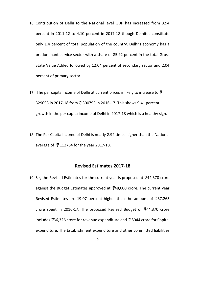- 16. Contribution of Delhi to the National level GDP has increased from 3.94 percent in 2011-12 to 4.10 percent in 2017-18 though Delhites constitute only 1.4 percent of total population of the country. Delhi's economy has a predominant service sector with a share of 85.92 percent in the total Gross State Value Added followed by 12.04 percent of secondary sector and 2.04 percent of primary sector.
- 17. The per capita income of Delhi at current prices is likely to increase to  $\bar{z}$ 329093 in 2017-18 from ₹ 300793 in 2016-17. This shows 9.41 percent growth in the per capita income of Delhi in 2017-18 which is a healthy sign.
- 18. The Per Capita Income of Delhi is nearly 2.92 times higher than the National average of  $\overline{3}$  112764 for the year 2017-18.

# **Revised Estimates 201718**

- 19. Sir, the Revised Estimates for the current year is proposed at  $\overline{6}44,370$  crore against the Budget Estimates approved at  $\overline{6}48,000$  crore. The current year Revised Estimates are 19.07 percent higher than the amount of  $\overline{3}37,263$ crore spent in 2016-17. The proposed Revised Budget of  $\overline{6}44,370$  crore includes  $\overline{3}36,326$  crore for revenue expenditure and  $\overline{3}8044$  crore for Capital expenditure. The Establishment expenditure and other committed liabilities
	- 9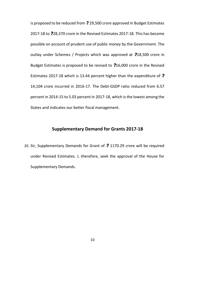is proposed to be reduced from  $\bar{z}$  29,500 crore approved in Budget Estimates 2017-18 to ₹28,370 crore in the Revised Estimates 2017-18. This has become possible on account of prudent use of public money by the Government. The outlay under Schemes / Projects which was approved at  $\overline{5}18,500$  crore in Budget Estimates is proposed to be revised to  $\overline{7}16,000$  crore in the Revised Estimates 2017-18 which is 13.44 percent higher than the expenditure of  $\bar{z}$ 14,104 crore incurred in 2016-17. The Debt-GSDP ratio reduced from 6.57 percent in 2014-15 to 5.03 percent in 2017-18, which is the lowest among the States and indicates our better fiscal management.

# **Supplementary Demand for Grants 201718**

20. Sir, Supplementary Demands for Grant of  $\overline{3}$  1170.29 crore will be required under Revised Estimates. I, therefore, seek the approval of the House for Supplementary Demands.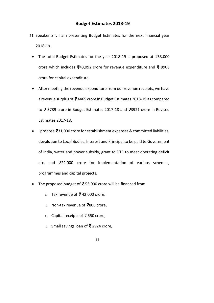- 21. Speaker Sir, I am presenting Budget Estimates for the next financial year 2018-19.
	- The total Budget Estimates for the year 2018-19 is proposed at  $\overline{5}3,000$ crore which includes  $\frac{1}{2}43,092$  crore for revenue expenditure and  $\frac{1}{2}$  9908 crore for capital expenditure.
	- After meeting the revenue expenditure from our revenue receipts, we have a revenue surplus of  $\overline{e}$  4465 crore in Budget Estimates 2018-19 as compared to  $\overline{3}$  3789 crore in Budget Estimates 2017-18 and  $\overline{3}$ 3921 crore in Revised Estimates 2017-18.
	- I propose  $\overline{3}31,000$  crore for establishment expenses & committed liabilities, devolution to Local Bodies, Interest and Principal to be paid to Government of India, water and power subsidy, grant to DTC to meet operating deficit etc. and  $\bar{z}$ 22,000 crore for implementation of various schemes, programmes and capital projects.
	- The proposed budget of  $\overline{e}$  53,000 crore will be financed from
		- Tax revenue of  $\bar{F}$  42,000 crore,
		- Non-tax revenue of  $\overline{3}800$  crore,
		- $\circ$  Capital receipts of  $\overline{5}$  550 crore,
		- o Small savings loan of  $\overline{5}$  2924 crore,
			- 11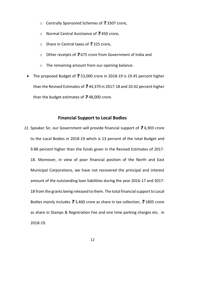- Centrally Sponsored Schemes of  $\overline{3}$  3307 crore,
- o Normal Central Assistance of  $\bar{z}$  450 crore,
- $\circ$  Share in Central taxes of  $\overline{5}$  325 crore,
- $\circ$  Other receipts of  $\overline{3}$  675 crore from Government of India and
- o The remaining amount from our opening balance.
- The proposed Budget of  $\overline{3}$  53,000 crore in 2018-19 is 19.45 percent higher than the Revised Estimates of  $\bar{z}$  44,370 in 2017-18 and 10.42 percent higher than the budget estimates of  $\overline{3}$  48,000 crore.

# **Financial Support to Local Bodies**

22. Speaker Sir, our Government will provide financial support of  $\bar{z}$  6,903 crore to the Local Bodies in 2018-19 which is 13 percent of the total Budget and 9.88 percent higher than the funds given in the Revised Estimates of 2017 18. Moreover, in view of poor financial position of the North and East Municipal Corporations, we have not recovered the principal and interest amount of the outstanding loan liabilities during the year 2016-17 and 2017-18 from the grants being released to them. The total financial support to Local Bodies mainly includes  $\bar{e}$  3,460 crore as share in tax collection,  $\bar{e}$  1805 crore as share in Stamps & Registration Fee and one time parking charges etc. in 2018-19.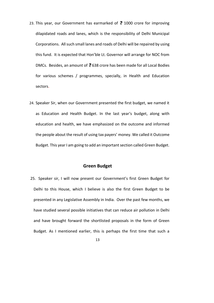- 23. This year, our Government has earmarked of  $\bar{z}$  1000 crore for improving dilapidated roads and lanes, which is the responsibility of Delhi Municipal Corporations. All such small lanes and roads of Delhi will be repaired by using this fund. It is expected that Hon'ble Lt. Governor will arrange for NOC from DMCs. Besides, an amount of  $\frac{3}{5}$  638 crore has been made for all Local Bodies for various schemes / programmes, specially, in Health and Education sectors.
- 24. Speaker Sir, when our Government presented the first budget, we named it as Education and Health Budget. In the last year's budget, along with education and health, we have emphasized on the outcome and informed the people about the result of using tax payers' money. We called it Outcome Budget. This year I am going to add an important section called Green Budget.

# **Green Budget**

- 25. Speaker sir, I will now present our Government's first Green Budget for Delhi to this House, which I believe is also the first Green Budget to be presented in any Legislative Assembly in India. Over the past few months, we have studied several possible initiatives that can reduce air pollution in Delhi and have brought forward the shortlisted proposals in the form of Green Budget. As I mentioned earlier, this is perhaps the first time that such a
	- 13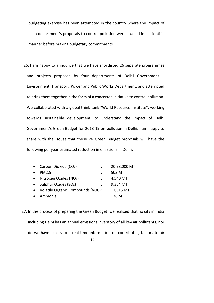budgeting exercise has been attempted in the country where the impact of each department's proposals to control pollution were studied in a scientific manner before making budgetary commitments.

26. I am happy to announce that we have shortlisted 26 separate programmes and projects proposed by four departments of Delhi Government – Environment, Transport, Power and Public Works Department, and attempted to bring them together in the form of a concerted initiative to control pollution. We collaborated with a global think-tank "World Resource Institute", working towards sustainable development, to understand the impact of Delhi Government's Green Budget for 2018-19 on pollution in Delhi. I am happy to share with the House that these 26 Green Budget proposals will have the following per year estimated reduction in emissions in Delhi:

| • Carbon Dioxide $(CO2)$            | 20,98,000 MT |
|-------------------------------------|--------------|
| PM <sub>2.5</sub>                   | 503 MT       |
| Nitrogen Oxides (NO <sub>x</sub> )  | 4,540 MT     |
| Sulphur Oxides $(SO_X)$             | 9,364 MT     |
| • Volatile Organic Compounds (VOC): | 11,515 MT    |
| Ammonia                             | 136 MT       |

14 27. In the process of preparing the Green Budget, we realised that no city in India including Delhi has an annual emissions inventory of all key air pollutants, nor do we have access to a real-time information on contributing factors to air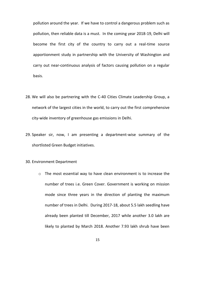pollution around the year. If we have to control a dangerous problem such as pollution, then reliable data is a must. In the coming year 2018-19, Delhi will become the first city of the country to carry out a real-time source apportionment study in partnership with the University of Washington and carry out near-continuous analysis of factors causing pollution on a regular basis.

- 28. We will also be partnering with the C-40 Cities Climate Leadership Group, a network of the largest cities in the world, to carry out the first comprehensive city-wide inventory of greenhouse gas emissions in Delhi.
- 29. Speaker sir, now, I am presenting a department-wise summary of the shortlisted Green Budget initiatives.

#### 30. Environment Department

- o The most essential way to have clean environment is to increase the number of trees i.e. Green Cover. Government is working on mission mode since three years in the direction of planting the maximum number of trees in Delhi. During 2017-18, about 5.5 lakh seedling have already been planted till December, 2017 while another 3.0 lakh are likely to planted by March 2018. Another 7.93 lakh shrub have been
	- 15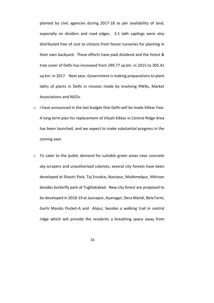planted by civic agencies during 2017-18 as per availability of land, especially on dividers and road edges. 3.5 lakh saplings were also distributed free of cost to citizens from forest nurseries for planting in their own backyard. These efforts have paid dividend and the forest & tree cover of Delhi has increased from 299.77 sq.km. in 2015 to 305.41 sq.km. in 2017. Next year, Government is making preparations to plant lakhs of plants in Delhi in mission mode by involving RWAs, Market Associations and NGOs.

- $\circ$  I have announced in the last budget that Delhi will be made Kikkar free. A long term plan for replacement of Vilyati Kikkar in Central Ridge Area has been launched, and we expect to make substantial progress in the coming year.
- o To cater to the public demand for suitable green areas near concrete sky-scrapers and unauthorised colonies, several city forests have been developed at Shastri Park, Taj Envalce, Nasirpur, Mukhmelpur, Mitroan besides butterfly park at Tughlakabad. New city forest are proposed to be developed in 2018-19 at Jaunapur, Ayanagar, Dera Mandi, Bela Farm, Garhi Mandu Pocket-A and Alipur, besides a walking trail in central ridge which will provide the residents a breathing space away from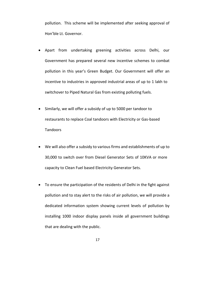pollution. This scheme will be implemented after seeking approval of Hon'ble Lt. Governor.

- Apart from undertaking greening activities across Delhi, our Government has prepared several new incentive schemes to combat pollution in this year's Green Budget. Our Government will offer an incentive to industries in approved industrial areas of up to 1 lakh to switchover to Piped Natural Gas from existing polluting fuels.
- Similarly, we will offer a subsidy of up to 5000 per tandoor to restaurants to replace Coal tandoors with Electricity or Gas-based Tandoors
- We will also offer a subsidy to various firms and establishments of up to 30,000 to switch over from Diesel Generator Sets of 10KVA or more capacity to Clean Fuel based Electricity Generator Sets.
- To ensure the participation of the residents of Delhi in the fight against pollution and to stay alert to the risks of air pollution, we will provide a dedicated information system showing current levels of pollution by installing 1000 indoor display panels inside all government buildings that are dealing with the public.
	- 17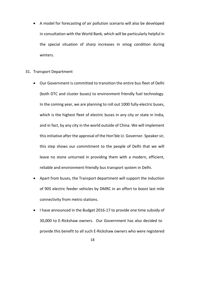A model for forecasting of air pollution scenario will also be developed in consultation with the World Bank, which will be particularly helpful in the special situation of sharp increases in smog condition during winters.

# 31. Transport Department

- Our Government is committed to transition the entire bus fleet of Delhi (both DTC and cluster buses) to environment friendly fuel technology. In the coming year, we are planning to roll out 1000 fully-electric buses, which is the highest fleet of electric buses in any city or state in India, and in fact, by any city in the world outside of China. We will implement this initiative after the approval of the Hon'ble Lt. Governor. Speaker sir, this step shows our commitment to the people of Delhi that we will leave no stone unturned in providing them with a modern, efficient, reliable and environment-friendly bus transport system in Delhi.
- Apart from buses, the Transport department will support the induction of 905 electric feeder vehicles by DMRC in an effort to boost last mile connectivity from metro stations.
- I have announced in the Budget 2016-17 to provide one time subsidy of 30,000 to ERickshaw owners. Our Government has also decided to provide this benefit to all such E-Rickshaw owners who were registered

<sup>18</sup>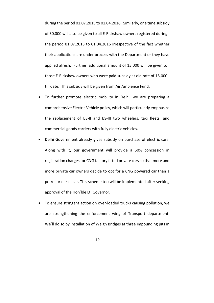during the period 01.07.2015 to 01.04.2016. Similarly, one time subsidy of 30,000 will also be given to all E-Rickshaw owners registered during the period 01.07.2015 to 01.04.2016 irrespective of the fact whether their applications are under process with the Department or they have applied afresh. Further, additional amount of 15,000 will be given to those E-Rickshaw owners who were paid subsidy at old rate of 15,000 till date. This subsidy will be given from Air Ambience Fund.

- To further promote electric mobility in Delhi, we are preparing a comprehensive Electric Vehicle policy, which will particularly emphasize the replacement of BS-II and BS-III two wheelers, taxi fleets, and commercial goods carriers with fully electric vehicles.
- Delhi Government already gives subsidy on purchase of electric cars. Along with it, our government will provide a 50% concession in registration charges for CNG factory fitted private cars so that more and more private car owners decide to opt for a CNG powered car than a petrol or diesel car. This scheme too will be implemented after seeking approval of the Hon'ble Lt. Governor.
- To ensure stringent action on over-loaded trucks causing pollution, we are strengthening the enforcement wing of Transport department. We'll do so by installation of Weigh Bridges at three impounding pits in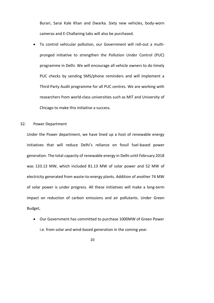Burari, Sarai Kale Khan and Dwarka. Sixty new vehicles, body-worn cameras and E-Challaning tabs will also be purchased.

• To control vehicular pollution, our Government will roll-out a multipronged initiative to strengthen the Pollution Under Control (PUC) programme in Delhi. We will encourage all vehicle owners to do timely PUC checks by sending SMS/phone reminders and will implement a Third-Party Audit programme for all PUC centres. We are working with researchers from world-class universities such as MIT and University of Chicago to make this initiative a success.

### 32. Power Department

Under the Power department, we have lined up a host of renewable energy initiatives that will reduce Delhi's reliance on fossil fuel-based power generation. The total capacity of renewable energy in Delhi until February 2018 was 133.13 MW, which included 81.13 MW of solar power and 52 MW of electricity generated from waste-to-energy plants. Addition of another 74 MW of solar power is under progress. All these initiatives will make a long-term impact on reduction of carbon emissions and air pollutants. Under Green Budget,

- Our Government has committed to purchase 1000MW of Green Power i.e. from solar and wind-based generation in the coming year.
	- 20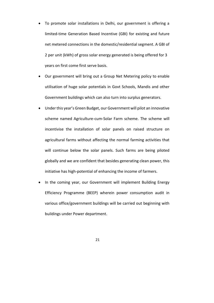- To promote solar installations in Delhi, our government is offering a limited-time Generation Based Incentive (GBI) for existing and future net metered connections in the domestic/residential segment. A GBI of 2 per unit (kWh) of gross solar energy generated is being offered for 3 years on first come first serve basis.
- Our government will bring out a Group Net Metering policy to enable utilisation of huge solar potentials in Govt Schools, Mandis and other Government buildings which can also turn into surplus generators.
- Under this year's Green Budget, our Government will pilot an innovative scheme named Agriculture-cum-Solar Farm scheme. The scheme will incentivise the installation of solar panels on raised structure on agricultural farms without affecting the normal farming activities that will continue below the solar panels. Such farms are being piloted globally and we are confident that besides generating clean power, this initiative has high-potential of enhancing the income of farmers.
- In the coming year, our Government will implement Building Energy Efficiency Programme (BEEP) wherein power consumption audit in various office/government buildings will be carried out beginning with buildings under Power department.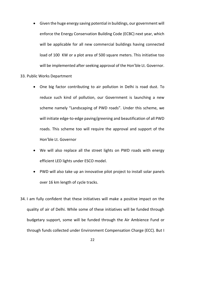- Given the huge energy saving potential in buildings, our government will enforce the Energy Conservation Building Code (ECBC) next year, which will be applicable for all new commercial buildings having connected load of 100 KW or a plot area of 500 square meters. This initiative too will be implemented after seeking approval of the Hon'ble Lt. Governor.
- 33. Public Works Department
	- One big factor contributing to air pollution in Delhi is road dust. To reduce such kind of pollution, our Government is launching a new scheme namely "Landscaping of PWD roads". Under this scheme, we will initiate edge-to-edge paving/greening and beautification of all PWD roads. This scheme too will require the approval and support of the Hon'ble Lt. Governor
	- We will also replace all the street lights on PWD roads with energy efficient LED lights under ESCO model.
	- PWD will also take up an innovative pilot project to install solar panels over 16 km length of cycle tracks.
- 34. I am fully confident that these initiatives will make a positive impact on the quality of air of Delhi. While some of these initiatives will be funded through budgetary support, some will be funded through the Air Ambience Fund or through funds collected under Environment Compensation Charge (ECC). But I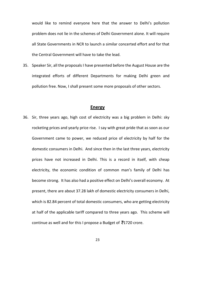would like to remind everyone here that the answer to Delhi's pollution problem does not lie in the schemes of Delhi Government alone. It will require all State Governments in NCR to launch a similar concerted effort and for that the Central Government will have to take the lead.

35. Speaker Sir, all the proposals I have presented before the August House are the integrated efforts of different Departments for making Delhi green and pollution free. Now, I shall present some more proposals of other sectors.

# **Energy**

36. Sir, three years ago, high cost of electricity was a big problem in Delhi: sky rocketing prices and yearly price rise. I say with great pride that as soon as our Government came to power, we reduced price of electricity by half for the domestic consumers in Delhi. And since then in the last three years, electricity prices have not increased in Delhi. This is a record in itself, with cheap electricity, the economic condition of common man's family of Delhi has become strong. It has also had a positive effect on Delhi's overall economy. At present, there are about 37.28 lakh of domestic electricity consumers in Delhi, which is 82.84 percent of total domestic consumers, who are getting electricity at half of the applicable tariff compared to three years ago. This scheme will continue as well and for this I propose a Budget of  $\overline{3}1720$  crore.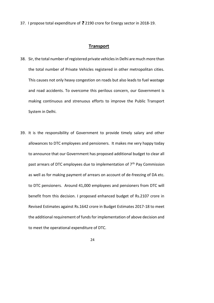37. I propose total expenditure of  $\overline{3}$  2190 crore for Energy sector in 2018-19.

# **Transport**

- 38. Sir, the total number of registered private vehiclesin Delhi are much more than the total number of Private Vehicles registered in other metropolitan cities. This causes not only heavy congestion on roads but also leads to fuel wastage and road accidents. To overcome this perilous concern, our Government is making continuous and strenuous efforts to improve the Public Transport System in Delhi.
- 39. It is the responsibility of Government to provide timely salary and other allowances to DTC employees and pensioners. It makes me very happy today to announce that our Government has proposed additional budget to clear all past arrears of DTC employees due to implementation of 7<sup>th</sup> Pay Commission as well as for making payment of arrears on account of de-freezing of DA etc. to DTC pensioners. Around 41,000 employees and pensioners from DTC will benefit from this decision. I proposed enhanced budget of Rs.2107 crore in Revised Estimates against Rs.1642 crore in Budget Estimates 2017-18 to meet the additional requirement of fundsfor implementation of above decision and to meet the operational expenditure of DTC.
	- 24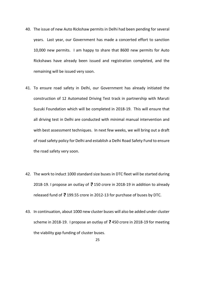- 40. The issue of new Auto Rickshaw permits in Delhi had been pending for several years. Last year, our Government has made a concerted effort to sanction 10,000 new permits. I am happy to share that 8600 new permits for Auto Rickshaws have already been issued and registration completed, and the remaining will be issued very soon.
- 41. To ensure road safety in Delhi, our Government has already initiated the construction of 12 Automated Driving Test track in partnership with Maruti Suzuki Foundation which will be completed in 2018-19. This will ensure that all driving test in Delhi are conducted with minimal manual intervention and with best assessment techniques. In next few weeks, we will bring out a draft of road safety policy for Delhi and establish a Delhi Road Safety Fund to ensure the road safety very soon.
- 42. The work to induct 1000 standard size buses in DTC fleet will be started during 2018-19. I propose an outlay of  $\bar{z}$  150 crore in 2018-19 in addition to already released fund of  $\bar{z}$  199.55 crore in 2012-13 for purchase of buses by DTC.
- 43. In continuation, about 1000 new cluster buses will also be added under cluster scheme in 2018-19. I propose an outlay of  $\bar{z}$  450 crore in 2018-19 for meeting the viability gap funding of cluster buses.

<sup>25</sup>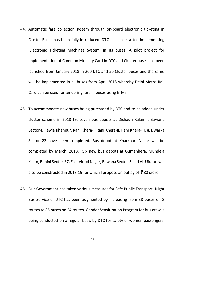- 44. Automatic fare collection system through on-board electronic ticketing in Cluster Buses has been fully introduced. DTC has also started implementing 'Electronic Ticketing Machines System' in its buses. A pilot project for implementation of Common Mobility Card in DTC and Cluster buses has been launched from January 2018 in 200 DTC and 50 Cluster buses and the same will be implemented in all buses from April 2018 whereby Delhi Metro Rail Card can be used for tendering fare in buses using ETMs.
- 45. To accommodate new buses being purchased by DTC and to be added under cluster scheme in 2018-19, seven bus depots at Dichaun Kalan-II, Bawana Sector-I, Rewla Khanpur, Rani Khera-I, Rani Khera-II, Rani Khera-III, & Dwarka Sector 22 have been completed. Bus depot at Kharkhari Nahar will be completed by March, 2018. Six new bus depots at Gumanhera, Mundela Kalan, Rohini Sector-37, East Vinod Nagar, Bawana Sector-5 and VIU Burari will also be constructed in 2018-19 for which I propose an outlay of  $\bar{z}$  80 crore.
- 46. Our Government has taken various measures for Safe Public Transport. Night Bus Service of DTC has been augmented by increasing from 38 buses on 8 routes to 85 buses on 24 routes. Gender Sensitization Program for bus crew is being conducted on a regular basis by DTC for safety of women passengers.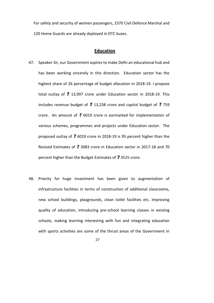For safety and security of women passengers, 2370 Civil Defence Marshal and 120 Home Guards are already deployed in DTC buses.

# **Education**

- 47. Speaker Sir, our Government aspires to make Delhi an educational hub and has been working sincerely in this direction. Education sector has the highest share of 26 percentage of budget allocation in 2018-19. I propose total outlay of  $\bar{z}$  13,997 crore under Education sector in 2018-19. This includes revenue budget of  $\bar{z}$  13,238 crore and capital budget of  $\bar{z}$  759 crore. An amount of  $\bar{z}$  6019 crore is earmarked for implementation of various schemes, programmes and projects under Education sector. The proposed outlay of  $\overline{3}$  6019 crore in 2018-19 is 95 percent higher than the Revised Estimates of  $\bar{z}$  3083 crore in Education sector in 2017-18 and 70 percent higher than the Budget Estimates of  $\bar{z}$  3525 crore.
- 48. Priority for huge investment has been given to augmentation of infrastructure facilities in terms of construction of additional classrooms, new school buildings, playgrounds, clean toilet facilities etc. Improving quality of education, introducing pre-school learning classes in existing schools, making learning interesting with fun and integrating education with sports activities are some of the thrust areas of the Government in
	- 27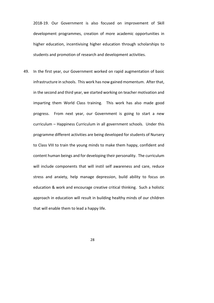2018-19. Our Government is also focused on improvement of Skill development programmes, creation of more academic opportunities in higher education, incentivising higher education through scholarships to students and promotion of research and development activities.

49. In the first year, our Government worked on rapid augmentation of basic infrastructure in schools. This work has now gained momentum. After that, in the second and third year, we started working on teacher motivation and imparting them World Class training. This work has also made good progress. From next year, our Government is going to start a new curriculum – Happiness Curriculum in all government schools. Under this programme different activities are being developed for students of Nursery to Class VIII to train the young minds to make them happy, confident and content human beings and for developing their personality. The curriculum will include components that will instil self awareness and care, reduce stress and anxiety, help manage depression, build ability to focus on education & work and encourage creative critical thinking. Such a holistic approach in education will result in building healthy minds of our children that will enable them to lead a happy life.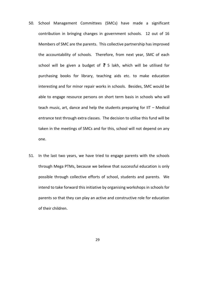- 50. School Management Committees (SMCs) have made a significant contribution in bringing changes in government schools. 12 out of 16 Members of SMC are the parents. This collective partnership has improved the accountability of schools. Therefore, from next year, SMC of each school will be given a budget of  $\overline{z}$  5 lakh, which will be utilised for purchasing books for library, teaching aids etc. to make education interesting and for minor repair works in schools. Besides, SMC would be able to engage resource persons on short term basis in schools who will teach music, art, dance and help the students preparing for IIT – Medical entrance test through extra classes. The decision to utilise this fund will be taken in the meetings of SMCs and for this, school will not depend on any one.
- 51. In the last two years, we have tried to engage parents with the schools through Mega PTMs, because we believe that successful education is only possible through collective efforts of school, students and parents. We intend to take forward this initiative by organising workshops in schools for parents so that they can play an active and constructive role for education of their children.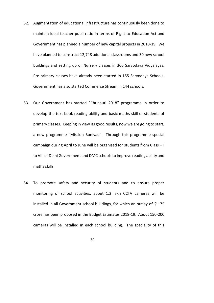- 52. Augmentation of educational infrastructure has continuously been done to maintain ideal teacher pupil ratio in terms of Right to Education Act and Government has planned a number of new capital projects in 2018-19. We have planned to construct 12,748 additional classrooms and 30 new school buildings and setting up of Nursery classes in 366 Sarvodaya Vidyalayas. Pre-primary classes have already been started in 155 Sarvodaya Schools. Government has also started Commerce Stream in 144 schools.
- 53. Our Government has started "Chunauti 2018" programme in order to develop the text book reading ability and basic maths skill of students of primary classes. Keeping in view its good results, now we are going to start, a new programme "Mission Buniyad". Through this programme special campaign during April to June will be organised for students from Class – I to VIII of Delhi Government and DMC schoolsto improve reading ability and maths skills.
- 54. To promote safety and security of students and to ensure proper monitoring of school activities, about 1.2 lakh CCTV cameras will be installed in all Government school buildings, for which an outlay of  $\bar{z}$  175 crore has been proposed in the Budget Estimates 2018-19. About 150-200 cameras will be installed in each school building. The speciality of this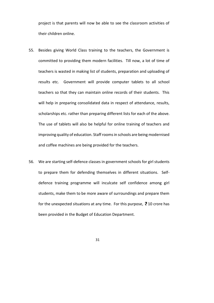project is that parents will now be able to see the classroom activities of their children online.

- 55. Besides giving World Class training to the teachers, the Government is committed to providing them modern facilities. Till now, a lot of time of teachers is wasted in making list of students, preparation and uploading of results etc. Government will provide computer tablets to all school teachers so that they can maintain online records of their students. This will help in preparing consolidated data in respect of attendance, results, scholarships etc. rather than preparing different lists for each of the above. The use of tablets will also be helpful for online training of teachers and improving quality of education. Staff rooms in schools are being modernised and coffee machines are being provided for the teachers.
- 56. We are starting self-defence classes in government schools for girl students to prepare them for defending themselves in different situations. Selfdefence training programme will inculcate self confidence among girl students, make them to be more aware of surroundings and prepare them for the unexpected situations at any time. For this purpose,  $\bar{z}$  10 crore has been provided in the Budget of Education Department.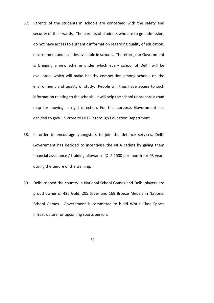- 57. Parents of the students in schools are concerned with the safety and security of their wards. The parents of students who are to get admission, do not have access to authentic information regarding quality of education, environment and facilities available in schools. Therefore, our Government is bringing a new scheme under which every school of Delhi will be evaluated, which will make healthy competition among schools on the environment and quality of study. People will thus have access to such information relating to the schools. It will help the school to prepare a road map for moving in right direction. For this purpose, Government has decided to give 25 crore to DCPCR through Education Department.
- 58. In order to encourage youngsters to join the defence services, Delhi Government has decided to incentivise the NDA cadets by giving them financial assistance / training allowance  $\omega$   $\bar{z}$  2000 per month for 03 years during the tenure of the training.
- 59. Delhi topped the country in National School Games and Delhi players are proud owner of 426 Gold, 205 Silver and 169 Bronze Medals in National School Games. Government is committed to build World Class Sports Infrastructure for upcoming sports person.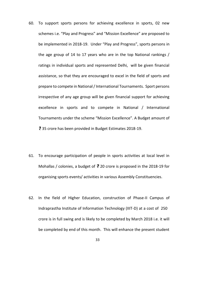- 60. To support sports persons for achieving excellence in sports, 02 new schemes i.e. "Play and Progress" and "Mission Excellence" are proposed to be implemented in 2018-19. Under "Play and Progress", sports persons in the age group of 14 to 17 years who are in the top National rankings / ratings in individual sports and represented Delhi, will be given financial assistance, so that they are encouraged to excel in the field of sports and prepare to compete in National/International Tournaments. Sport persons irrespective of any age group will be given financial support for achieving excellence in sports and to compete in National / International Tournaments under the scheme "Mission Excellence". A Budget amount of ₹ 35 crore has been provided in Budget Estimates 2018-19.
- 61. To encourage participation of people in sports activities at local level in Mohallas / colonies, a budget of  $\bar{z}$  20 crore is proposed in the 2018-19 for organising sports events/ activities in various Assembly Constituencies.
- 62. In the field of Higher Education, construction of Phase-II Campus of Indraprastha Institute of Information Technology (IIIT-D) at a cost of  $250$ crore is in full swing and is likely to be completed by March 2018 i.e. it will be completed by end of this month. This will enhance the present student

<sup>33</sup>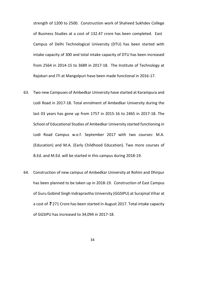strength of 1200 to 2500. Construction work of Shaheed Sukhdev College of Business Studies at a cost of 132.47 crore has been completed. East Campus of Delhi Technological University (DTU) has been started with intake capacity of 300 and total intake capacity of DTU has been increased from 2564 in 2014-15 to 3689 in 2017-18. The Institute of Technology at Rajokari and ITI at Mangolpuri have been made functional in 2016-17.

- 63. Two new Campuses of Ambedkar University have started at Karampura and Lodi Road in 2017-18. Total enrolment of Ambedkar University during the last 03 years has gone up from 1757 in 2015-16 to 2465 in 2017-18. The School of Educational Studies of Ambedkar University started functioning in Lodi Road Campus w.e.f. September 2017 with two courses: M.A. (Education) and M.A. (Early Childhood Education). Two more courses of B.Ed. and M.Ed. will be started in this campus during 2018-19.
- 64. Construction of new campus of Ambedkar University at Rohini and Dhirpur has been planned to be taken up in 2018-19. Construction of East Campus of Guru Gobind Singh Indraprastha University (GGSIPU) at Surajmal Vihar at a cost of  $\bar{z}$  271 Crore has been started in August 2017. Total intake capacity of GGSIPU has increased to 34,094 in 2017-18.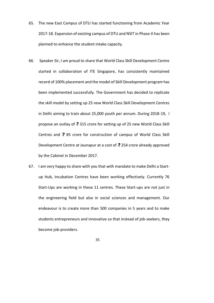- 65. The new East Campus of DTU has started functioning from Academic Year 2017-18. Expansion of existing campus of DTU and NSIT in Phase-II has been planned to enhance the student intake capacity.
- 66. Speaker Sir, I am proud to share that World Class Skill Development Centre started in collaboration of ITE Singapore, has consistently maintained record of 100% placement and the model of Skill Development program has been implemented successfully. The Government has decided to replicate the skill model by setting up 25 new World Class Skill Development Centres in Delhi aiming to train about 25,000 youth per annum. During 2018-19, I propose an outlay of  $\bar{z}$  315 crore for setting up of 25 new World Class Skill Centres and  $\bar{z}$  85 crore for construction of campus of World Class Skill Development Centre at Jaunapur at a cost of  $\bar{z}$  254 crore already approved by the Cabinet in December 2017.
- 67. I am very happy to share with you that with mandate to make Delhi a Startup Hub, Incubation Centres have been working effectively. Currently 76 Start-Ups are working in these 11 centres. These Start-ups are not just in the engineering field but also in social sciences and management. Our endeavour is to create more than 500 companies in 5 years and to make students entrepreneurs and innovative so that instead of job-seekers, they become job-providers.
	- 35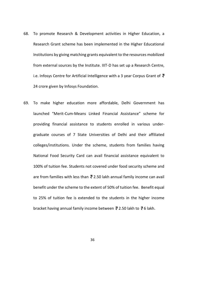- 68. To promote Research & Development activities in Higher Education, a Research Grant scheme has been implemented in the Higher Educational Institutions by giving matching grants equivalent to the resources mobilized from external sources by the Institute. IIIT-D has set up a Research Centre, i.e. Infosys Centre for Artificial Intelligence with a 3 year Corpus Grant of  $\bar{z}$ 24 crore given by Infosys Foundation.
- 69. To make higher education more affordable, Delhi Government has launched "Merit-Cum-Means Linked Financial Assistance" scheme for providing financial assistance to students enrolled in various undergraduate courses of 7 State Universities of Delhi and their affiliated colleges/institutions. Under the scheme, students from families having National Food Security Card can avail financial assistance equivalent to 100% of tuition fee. Students not covered under food security scheme and are from families with less than  $\bar{z}$  2.50 lakh annual family income can avail benefit under the scheme to the extent of 50% of tuition fee. Benefit equal to 25% of tuition fee is extended to the students in the higher income bracket having annual family income between  $\bar{z}$  2.50 lakh to  $\bar{z}$  6 lakh.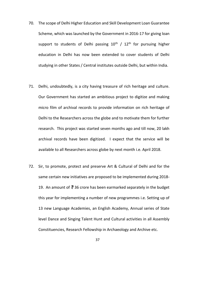- 70. The scope of Delhi Higher Education and Skill Development Loan Guarantee Scheme, which was launched by the Government in 2016-17 for giving loan support to students of Delhi passing  $10^{th}$  /  $12^{th}$  for pursuing higher education in Delhi has now been extended to cover students of Delhi studying in other States / Central institutes outside Delhi, but within India.
- 71. Delhi, undoubtedly, is a city having treasure of rich heritage and culture. Our Government has started an ambitious project to digitize and making micro film of archival records to provide information on rich heritage of Delhi to the Researchers across the globe and to motivate them for further research. This project was started seven months ago and till now, 20 lakh archival records have been digitized. I expect that the service will be available to all Researchers across globe by next month i.e. April 2018.
- 72. Sir, to promote, protect and preserve Art & Cultural of Delhi and for the same certain new initiatives are proposed to be implemented during 2018 19. An amount of  $\overline{3}$  36 crore has been earmarked separately in the budget this year for implementing a number of new programmes i.e. Setting up of 13 new Language Academies, an English Academy, Annual series of State level Dance and Singing Talent Hunt and Cultural activities in all Assembly Constituencies, Research Fellowship in Archaeology and Archive etc.
	- 37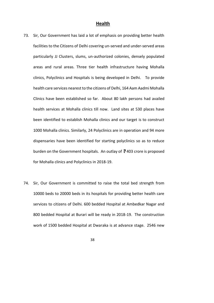#### **Health**

- 73. Sir, Our Government has laid a lot of emphasis on providing better health facilities to the Citizens of Delhi covering un-served and under-served areas particularly JJ Clusters, slums, un-authorized colonies, densely populated areas and rural areas. Three tier health infrastructure having Mohalla clinics, Polyclinics and Hospitals is being developed in Delhi. To provide health care services nearest to the citizens of Delhi, 164 Aam Aadmi Mohalla Clinics have been established so far. About 80 lakh persons had availed health services at Mohalla clinics till now. Land sites at 530 places have been identified to establish Mohalla clinics and our target is to construct 1000 Mohalla clinics. Similarly, 24 Polyclinics are in operation and 94 more dispensaries have been identified for starting polyclinics so as to reduce burden on the Government hospitals. An outlay of  $\bar{z}$  403 crore is proposed for Mohalla clinics and Polyclinics in 2018-19.
- 74. Sir, Our Government is committed to raise the total bed strength from 10000 beds to 20000 beds in its hospitals for providing better health care services to citizens of Delhi. 600 bedded Hospital at Ambedkar Nagar and 800 bedded Hospital at Burari will be ready in 2018-19. The construction work of 1500 bedded Hospital at Dwaraka is at advance stage. 2546 new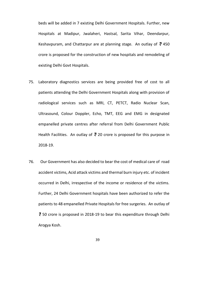beds will be added in 7 existing Delhi Government Hospitals. Further, new Hospitals at Madipur, Jwalaheri, Hastsal, Sarita Vihar, Deendarpur, Keshavpuram, and Chattarpur are at planning stage. An outlay of  $\bar{z}$  450 crore is proposed for the construction of new hospitals and remodeling of existing Delhi Govt Hospitals.

- 75. Laboratory diagnostics services are being provided free of cost to all patients attending the Delhi Government Hospitals along with provision of radiological services such as MRI, CT, PETCT, Radio Nuclear Scan, Ultrasound, Colour Doppler, Echo, TMT, EEG and EMG in designated empanelled private centres after referral from Delhi Government Public Health Facilities. An outlay of  $\bar{z}$  20 crore is proposed for this purpose in 2018-19.
- 76. Our Government has also decided to bear the cost of medical care of road accident victims, Acid attack victims and thermal burn injury etc. of incident occurred in Delhi, irrespective of the income or residence of the victims. Further, 24 Delhi Government hospitals have been authorized to refer the patients to 48 empanelled Private Hospitals for free surgeries. An outlay of  $\overline{5}$  50 crore is proposed in 2018-19 to bear this expenditure through Delhi Arogya Kosh.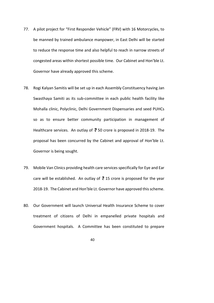- 77. A pilot project for "First Responder Vehicle" (FRV) with 16 Motorcycles, to be manned by trained ambulance manpower, in East Delhi will be started to reduce the response time and also helpful to reach in narrow streets of congested areas within shortest possible time. Our Cabinet and Hon'ble Lt. Governor have already approved this scheme.
- 78. Rogi Kalyan Samitis will be set up in each Assembly Constituency having Jan Swasthaya Samiti as its sub-committee in each public health facility like Mohalla clinic, Polyclinic, Delhi Government Dispensaries and seed PUHCs so as to ensure better community participation in management of Healthcare services. An outlay of  $\overline{5}$  50 crore is proposed in 2018-19. The proposal has been concurred by the Cabinet and approval of Hon'ble Lt. Governor is being sought.
- 79. Mobile Van Clinics providing health care services specifically for Eye and Ear care will be established. An outlay of  $\overline{z}$  15 crore is proposed for the year 2018-19. The Cabinet and Hon'ble Lt. Governor have approved this scheme.
- 80. Our Government will launch Universal Health Insurance Scheme to cover treatment of citizens of Delhi in empanelled private hospitals and Government hospitals. A Committee has been constituted to prepare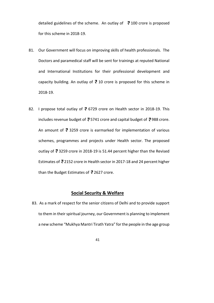detailed guidelines of the scheme. An outlay of  $\bar{z}$  100 crore is proposed for this scheme in 2018-19.

- 81. Our Government will focus on improving skills of health professionals. The Doctors and paramedical staff will be sent for trainings at reputed National and International Institutions for their professional development and capacity building. An outlay of  $\bar{z}$  10 crore is proposed for this scheme in 2018-19.
- 82. I propose total outlay of  $\overline{5}$  6729 crore on Health sector in 2018-19. This includes revenue budget of  $\bar{e}$  5741 crore and capital budget of  $\bar{e}$  988 crore. An amount of  $\bar{z}$  3259 crore is earmarked for implementation of various schemes, programmes and projects under Health sector. The proposed outlay of  $\overline{3}$  3259 crore in 2018-19 is 51.44 percent higher than the Revised Estimates of  $\bar{z}$  2152 crore in Health sector in 2017-18 and 24 percent higher than the Budget Estimates of  $\bar{z}$  2627 crore.

### **Social Security & Welfare**

83. As a mark of respect for the senior citizens of Delhi and to provide support to them in their spiritual journey, our Government is planning to implement a new scheme "Mukhya Mantri Tirath Yatra" forthe people in the age group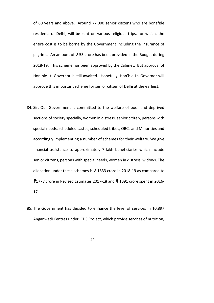of 60 years and above. Around 77,000 senior citizens who are bonafide residents of Delhi, will be sent on various religious trips, for which, the entire cost is to be borne by the Government including the insurance of pilgrims. An amount of  $\overline{3}$  53 crore has been provided in the Budget during 2018-19. This scheme has been approved by the Cabinet. But approval of Hon'ble Lt. Governor is still awaited. Hopefully, Hon'ble Lt. Governor will approve this important scheme for senior citizen of Delhi at the earliest.

- 84. Sir, Our Government is committed to the welfare of poor and deprived sections of society specially, women in distress, senior citizen, persons with special needs, scheduled castes, scheduled tribes, OBCs and Minorities and accordingly implementing a number of schemes for their welfare. We give financial assistance to approximately 7 lakh beneficiaries which include senior citizens, persons with special needs, women in distress, widows. The allocation under these schemes is  $\bar{z}$  1833 crore in 2018-19 as compared to  $\overline{3}1778$  crore in Revised Estimates 2017-18 and  $\overline{3}$  1091 crore spent in 2016-17.
- 85. The Government has decided to enhance the level of services in 10,897 Anganwadi Centres under ICDS Project, which provide services of nutrition,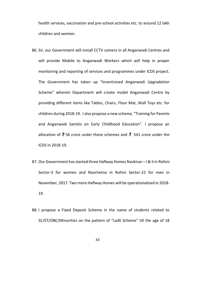health services, vaccination and pre-school activities etc. to around 12 lakh children and women.

- 86. Sir, our Government will install CCTV camera in all Anganwadi Centres and will provide Mobile to Anganwadi Workers which will help in proper monitoring and reporting of services and programmes under ICDS project. The Government has taken up "Incentivised Anganwadi Upgradation Scheme" wherein Department will create model Anganwadi Centre by providing different items like Tables, Chairs, Floor Mat, Wall Toys etc. for children during 2018-19. I also propose a new scheme, "Training for Parents and Anganwadi Samitis on Early Childhood Education". I propose an allocation of  $\bar{z}$  56 crore under these schemes and  $\bar{z}$  541 crore under the ICDS in 2018-19.
- 87. Our Government has started three Halfway Homes Navkiran I & II in Rohini Sector-3 for women and Navchetna in Rohini Sector-22 for men in November, 2017. Two more Halfway Homes will be operationalised in 2018 19.
- 88. I propose a Fixed Deposit Scheme in the name of students related to SC/ST/OBC/Minorities on the pattern of "Ladli Scheme" till the age of 18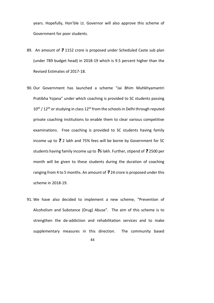years. Hopefully, Hon'ble Lt. Governor will also approve this scheme of Government for poor students.

- 89. An amount of  $\bar{z}$  1152 crore is proposed under Scheduled Caste sub plan (under 789 budget head) in 2018-19 which is 9.5 percent higher than the Revised Estimates of 2017-18.
- 90. Our Government has launched a scheme "Jai Bhim Muhkhyamantri Pratibha Yojana" under which coaching is provided to SC students passing  $10^{\text{th}}$  /  $12^{\text{th}}$  or studying in class  $12^{\text{th}}$  from the schools in Delhi through reputed private coaching institutions to enable them to clear various competitive examinations. Free coaching is provided to SC students having family income up to  $\bar{z}$  2 lakh and 75% fees will be borne by Government for SC students having family income up to  $\overline{6}$  lakh. Further, stipend of  $\overline{6}$  2500 per month will be given to these students during the duration of coaching ranging from 4 to 5 months. An amount of  $\overline{3}$  24 crore is proposed under this scheme in 2018-19.
- 91. We have also decided to implement a new scheme, "Prevention of Alcoholism and Substance (Drug) Abuse". The aim of this scheme is to strengthen the de-addiction and rehabilitation services and to make supplementary measures in this direction. The community based

<sup>44</sup>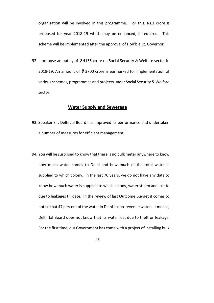organisation will be involved in this programme. For this, Rs.1 crore is proposed for year 2018-19 which may be enhanced, if required. This scheme will be implemented after the approval of Hon'ble Lt. Governor.

92. I propose an outlay of  $\overline{e}$  4155 crore on Social Security & Welfare sector in 2018-19. An amount of  $\overline{3}$  3700 crore is earmarked for implementation of various schemes, programmes and projects under Social Security & Welfare sector.

#### **Water Supply and Sewerage**

- 93. Speaker Sir, Delhi Jal Board has improved its performance and undertaken a number of measures for efficient management.
- 94. You will be surprised to know that there is no bulk meter anywhere to know how much water comes to Delhi and how much of the total water is supplied to which colony. In the last 70 years, we do not have any data to know how much water is supplied to which colony, water stolen and lost to due to leakages till date. In the review of last Outcome Budget it comes to notice that 47 percent of the water in Delhi is non-revenue water. It means, Delhi Jal Board does not know that its water lost due to theft or leakage. For the first time, our Government has come with a project of installing bulk
	- 45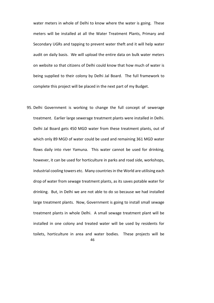water meters in whole of Delhi to know where the water is going. These meters will be installed at all the Water Treatment Plants, Primary and Secondary UGRs and tapping to prevent water theft and it will help water audit on daily basis. We will upload the entire data on bulk water meters on website so that citizens of Delhi could know that how much of water is being supplied to their colony by Delhi Jal Board. The full framework to complete this project will be placed in the next part of my Budget.

46 95. Delhi Government is working to change the full concept of sewerage treatment. Earlier large sewerage treatment plants were installed in Delhi. Delhi Jal Board gets 450 MGD water from these treatment plants, out of which only 89 MGD of water could be used and remaining 361 MGD water flows daily into river Yamuna. This water cannot be used for drinking, however, it can be used for horticulture in parks and road side, workshops, industrial cooling towers etc. Many countries in the World are utilising each drop of water from sewage treatment plants, as its saves potable water for drinking. But, in Delhi we are not able to do so because we had installed large treatment plants. Now, Government is going to install small sewage treatment plants in whole Delhi. A small sewage treatment plant will be installed in one colony and treated water will be used by residents for toilets, horticulture in area and water bodies. These projects will be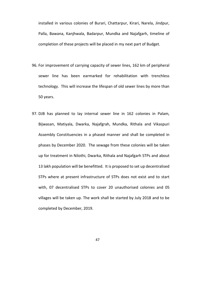installed in various colonies of Burari, Chattarpur, Kirari, Narela, Jindpur, Palla, Bawana, Kanjhwala, Badarpur, Mundka and Najafgarh, timeline of completion of these projects will be placed in my next part of Budget.

- 96. For improvement of carrying capacity of sewer lines, 162 km of peripheral sewer line has been earmarked for rehabilitation with trenchless technology. This will increase the lifespan of old sewer lines by more than 50 years.
- 97. DJB has planned to lay internal sewer line in 162 colonies in Palam, Bijwasan, Matiyala, Dwarka, Najafgrah, Mundka, Rithala and Vikaspuri Assembly Constituencies in a phased manner and shall be completed in phases by December 2020. The sewage from these colonies will be taken up for treatment in Nilothi, Dwarka, Rithala and Najafgarh STPs and about 13 lakh population will be benefitted. It is proposed to set up decentralised STPs where at present infrastructure of STPs does not exist and to start with, 07 decentralised STPs to cover 20 unauthorised colonies and 05 villages will be taken up. The work shall be started by July 2018 and to be completed by December, 2019.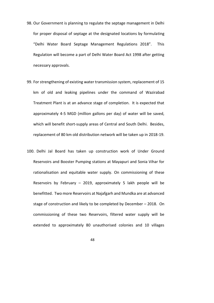- 98. Our Government is planning to regulate the septage management in Delhi for proper disposal of septage at the designated locations by formulating "Delhi Water Board Septage Management Regulations 2018". This Regulation will become a part of Delhi Water Board Act 1998 after getting necessary approvals.
- 99. For strengthening of existing water transmission system, replacement of 15 km of old and leaking pipelines under the command of Wazirabad Treatment Plant is at an advance stage of completion. It is expected that approximately 45 MGD (million gallons per day) of water will be saved, which will benefit short-supply areas of Central and South Delhi. Besides, replacement of 80 km old distribution network will be taken up in 2018-19.
- 100. Delhi Jal Board has taken up construction work of Under Ground Reservoirs and Booster Pumping stations at Mayapuri and Sonia Vihar for rationalisation and equitable water supply. On commissioning of these Reservoirs by February – 2019, approximately 5 lakh people will be benefitted. Two more Reservoirs at Najafgarh and Mundka are at advanced stage of construction and likely to be completed by December – 2018. On commissioning of these two Reservoirs, filtered water supply will be extended to approximately 80 unauthorised colonies and 10 villages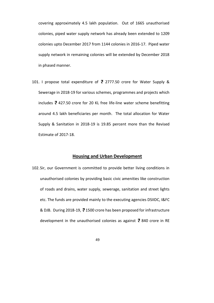covering approximately 4.5 lakh population. Out of 1665 unauthorised colonies, piped water supply network has already been extended to 1209 colonies upto December 2017 from 1144 colonies in 2016-17. Piped water supply network in remaining colonies will be extended by December 2018 in phased manner.

101. I propose total expenditure of  $\bar{z}$  2777.50 crore for Water Supply & Sewerage in 2018-19 for various schemes, programmes and projects which includes  $\bar{z}$  427.50 crore for 20 KL free life-line water scheme benefitting around 4.5 lakh beneficiaries per month. The total allocation for Water Supply & Sanitation in 2018-19 is 19.85 percent more than the Revised Estimate of 2017-18.

#### **Housing and Urban Development**

102.Sir, our Government is committed to provide better living conditions in unauthorised colonies by providing basic civic amenities like construction of roads and drains, water supply, sewerage, sanitation and street lights etc. The funds are provided mainly to the executing agencies DSIIDC, I&FC & DJB. During 2018-19, ₹1500 crore has been proposed for infrastructure development in the unauthorised colonies as against  $\bar{z}$  840 crore in RE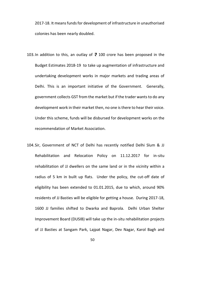2017-18. It means funds for development of infrastructure in unauthorised colonies has been nearly doubled.

- 103. In addition to this, an outlay of  $\overline{z}$  100 crore has been proposed in the Budget Estimates 2018-19 to take up augmentation of infrastructure and undertaking development works in major markets and trading areas of Delhi. This is an important initiative of the Government. Generally, government collects GST from the market but if the trader wantsto do any development work in their market then, no one is there to hear their voice. Under this scheme, funds will be disbursed for development works on the recommendation of Market Association.
- 104.Sir, Government of NCT of Delhi has recently notified Delhi Slum & JJ Rehabilitation and Relocation Policy on 11.12.2017 for in-situ rehabilitation of JJ dwellers on the same land or in the vicinity within a radius of 5 km in built up flats. Under the policy, the cut-off date of eligibility has been extended to 01.01.2015, due to which, around 90% residents of JJ Basties will be eligible for getting a house. During 2017-18, 1600 JJ families shifted to Dwarka and Baprola. Delhi Urban Shelter Improvement Board (DUSIB) will take up the in-situ rehabilitation projects of JJ Basties at Sangam Park, Lajpat Nagar, Dev Nagar, Karol Bagh and
	- 50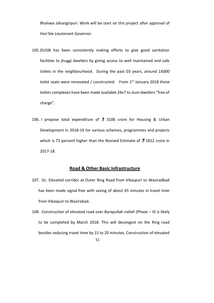Bhalswa Jahangirpuri. Work will be start on this project after approval of Hon'ble Lieutenant Governor.

- 105.DUSIB has been consistently making efforts to give good sanitation facilities to jhuggi dwellers by giving access to well maintained and safe toilets in the neighbourhood. During the past 03 years, around 16000 toilet seats were renovated / constructed. From  $1<sup>st</sup>$  January 2018 these toilets complexes have been made available 24x7 to slum dwellers "free of charge".
- 106. I propose total expenditure of  $\overline{5}$  3106 crore for Housing & Urban Development in 2018-19 for various schemes, programmes and projects which is 71 percent higher than the Revised Estimate of  $\bar{z}$  1812 crore in 2017-18.

### **Road & Other Basic Infrastructure**

- 107. Sir, Elevated corridor at Outer Ring Road from Vikaspuri to Waziradbad has been made signal free with saving of about 45 minutes in travel time from Vikaspuri to Wazirabad.
- 51 108. Construction of elevated road over Barapullah nallah (Phase – II) is likely to be completed by March 2018. This will decongest on the Ring road besides reducing travel time by 15 to 20 minutes. Construction of elevated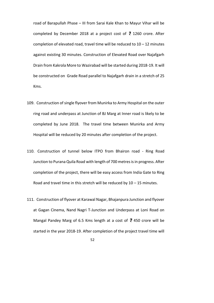road of Barapullah Phase – III from Sarai Kale Khan to Mayur Vihar will be completed by December 2018 at a project cost of  $\overline{5}$  1260 crore. After completion of elevated road, travel time will be reduced to  $10 - 12$  minutes against existing 30 minutes. Construction of Elevated Road over Najafgarh Drain from Kakrola More to Wazirabad will be started during 2018-19. It will be constructed on Grade Road parallel to Najafgarh drain in a stretch of 25 Kms.

- 109. Construction of single flyover from Munirka to Army Hospital on the outer ring road and underpass at Junction of BJ Marg at Inner road is likely to be completed by June 2018. The travel time between Munirka and Army Hospital will be reduced by 20 minutes after completion of the project.
- 110. Construction of tunnel below ITPO from Bhairon road Ring Road Junction to Purana Quila Road with length of 700 metres is in progress. After completion of the project, there will be easy access from India Gate to Ring Road and travel time in this stretch will be reduced by  $10 - 15$  minutes.
- 111. Construction of flyover at Karawal Nagar, Bhajanpura Junction and flyover at Gagan Cinema, Nand Nagri T-Junction and Underpass at Loni Road on Mangal Pandey Marg of 6.5 Kms length at a cost of  $\bar{z}$  450 crore will be started in the year 2018-19. After completion of the project travel time will

<sup>52</sup>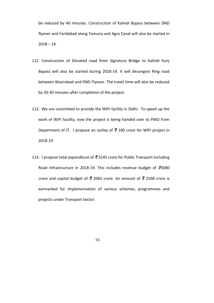be reduced by 40 minutes. Construction of Kalindi Bypass between DND flyover and Faridabad along Yamuna and Agra Canal will also be started in  $2018 - 19.$ 

- 112. Construction of Elevated road from Signature Bridge to Kalindi Kunj Bypass will also be started during 2018-19. It will decongest Ring road between Wazirabad and DND Flyover. The travel time will also be reduced by 20-30 minutes after completion of the project.
- 113. We are committed to provide the WIFI facility in Delhi. To speed up the work of WIFI facility, now the project is being handed over to PWD from Department of IT. I propose an outlay of  $\overline{e}$  100 crore for WIFI project in 2018-19.
- 114. I propose total expenditure of  $\bar{z}$  5145 crore for Public Transport including Road Infrastructure in 2018-19. This includes revenue budget of  $\overline{3}3080$ crore and capital budget of  $\bar{z}$  2065 crore. An amount of  $\bar{z}$  2568 crore is earmarked for implementation of various schemes, programmes and projects under Transport Sector.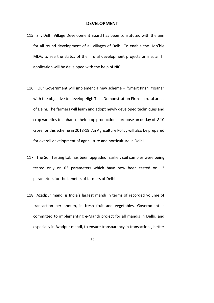#### **DEVELOPMENT**

- 115. Sir, Delhi Village Development Board has been constituted with the aim for all round development of all villages of Delhi. To enable the Hon'ble MLAs to see the status of their rural development projects online, an IT application will be developed with the help of NIC.
- 116. Our Government will implement a new scheme "Smart Krishi Yojana" with the objective to develop High Tech Demonstration Firms in rural areas of Delhi. The farmers will learn and adopt newly developed techniques and crop varieties to enhance their crop production. I propose an outlay of  $\bar{z}$  10 crore for this scheme in 2018-19. An Agriculture Policy will also be prepared for overall development of agriculture and horticulture in Delhi.
- 117. The Soil Testing Lab has been upgraded. Earlier, soil samples were being tested only on 03 parameters which have now been tested on 12 parameters for the benefits of farmers of Delhi.
- 118. Azadpur mandi is India's largest mandi in terms of recorded volume of transaction per annum, in fresh fruit and vegetables. Government is committed to implementing e-Mandi project for all mandis in Delhi, and especially in Azadpur mandi, to ensure transparency in transactions, better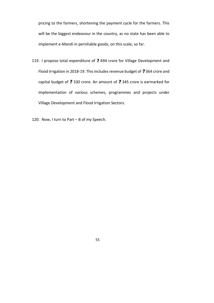pricing to the farmers, shortening the payment cycle for the farmers. This will be the biggest endeavour in the country, as no state has been able to implement e-Mandi in perishable goods, on this scale, so far.

- 119. I propose total expenditure of  $\bar{z}$  694 crore for Village Development and Flood Irrigation in 2018-19. This includes revenue budget of  $\bar{z}$  364 crore and capital budget of  $\overline{e}$  330 crore. An amount of  $\overline{e}$  345 crore is earmarked for implementation of various schemes, programmes and projects under Village Development and Flood Irrigation Sectors.
- 120. Now, I turn to Part B of my Speech.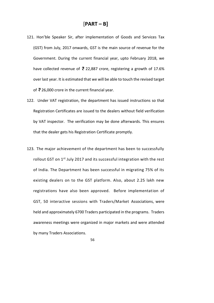- 121. Hon'ble Speaker Sir, after implementation of Goods and Services Tax (GST) from July, 2017 onwards, GST is the main source of revenue for the Government. During the current financial year, upto February 2018, we have collected revenue of  $\bar{z}$  22,887 crore, registering a growth of 17.6% over last year. It is estimated that we will be able to touch the revised target of  $\overline{z}$  26,000 crore in the current financial year.
- 122. Under VAT registration, the department has issued instructions so that Registration Certificates are issued to the dealers without field verification by VAT inspector. The verification may be done afterwards. This ensures that the dealer gets his Registration Certificate promptly.
- 123. The major achievement of the department has been to successfully rollout GST on 1<sup>st</sup> July 2017 and its successful integration with the rest of India. The Department has been successful in migrating 75% of its existing dealers on to the GST platform. Also, about 2.25 lakh new registrations have also been approved. Before implementation of GST, 50 interactive sessions with Traders/Market Associations, were held and approximately 6700 Traders participated in the programs. Traders awareness meetings were organized in major markets and were attended by many Traders Associations.
	- 56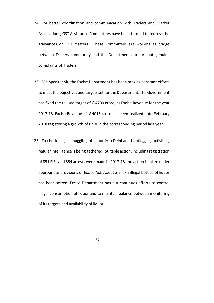- 124. For better coordination and communication with Traders and Market Associations, GST Assistance Committees have been formed to redress the grievances on GST matters. These Committees are working as bridge between Traders community and the Departments to sort out genuine complaints of Traders.
- 125. Mr. Speaker Sir, the Excise Department has been making constant efforts to meet the objectives and targets set for the Department. The Government has fixed the revised target of  $\overline{e}$  4700 crore, as Excise Revenue for the year 2017-18. Excise Revenue of  $\overline{z}$  4016 crore has been realized upto February 2018 registering a growth of 6.9% in the corresponding period last year.
- 126. To check illegal smuggling of liquor into Delhi and bootlegging activities, regular intelligence is being gathered. Suitable action, including registration of 851 FIRs and 854 arrests were made in 2017-18 and action is taken under appropriate provisions of Excise Act. About 3.5 lakh illegal bottles of liquor has been seized. Excise Department has put continues efforts to control illegal consumption of liquor and to maintain balance between monitoring of its targets and availability of liquor.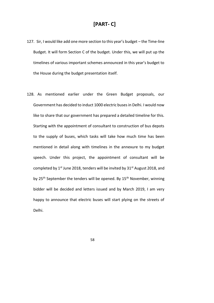# **[PART C]**

- 127. Sir, I would like add one more section to this year's budget the Timeline Budget. It will form Section C of the budget. Under this, we will put up the timelines of various important schemes announced in this year's budget to the House during the budget presentation itself.
- 128. As mentioned earlier under the Green Budget proposals, our Government has decided to induct 1000 electric busesin Delhi. I would now like to share that our government has prepared a detailed timeline for this. Starting with the appointment of consultant to construction of bus depots to the supply of buses, which tasks will take how much time has been mentioned in detail along with timelines in the annexure to my budget speech. Under this project, the appointment of consultant will be completed by  $1^{st}$  June 2018, tenders will be invited by  $31^{st}$  August 2018, and by 25<sup>th</sup> September the tenders will be opened. By 15<sup>th</sup> November, winning bidder will be decided and letters issued and by March 2019, I am very happy to announce that electric buses will start plying on the streets of Delhi.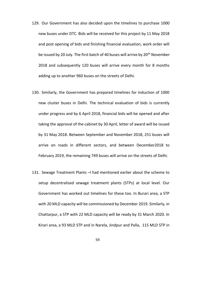- 129. Our Government has also decided upon the timelines to purchase 1000 new buses under DTC. Bids will be received for this project by 11 May 2018 and post opening of bids and finishing financial evaluation, work order will be issued by 20 July. The first batch of 40 buses will arrive by 20<sup>th</sup> November 2018 and subsequently 120 buses will arrive every month for 8 months adding up to another 960 buses on the streets of Delhi.
- 130. Similarly, the Government has prepared timelines for induction of 1000 new cluster buses in Delhi. The technical evaluation of bids is currently under progress and by 6 April 2018, financial bids will be opened and after taking the approval of the cabinet by 30 April, letter of award will be issued by 31 May 2018. Between September and November 2018, 251 buses will arrive on roads in different sectors, and between December2018 to February 2019, the remaining 749 buses will arrive on the streets of Delhi.
- 131. Sewage Treatment Plants –I had mentioned earlier about the scheme to setup decentralised sewage treatment plants (STPs) at local level. Our Government has worked out timelines for these too. In Burari area, a STP with 20 MLD capacity will be commissioned by December 2019. Similarly, in Chattarpur, a STP with 22 MLD capacity will be ready by 31 March 2020. In Kirari area, a 93 MLD STP and in Narela, Jindpur and Palla, 115 MLD STP in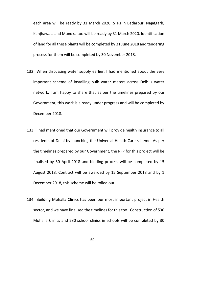each area will be ready by 31 March 2020. STPs in Badarpur, Najafgarh, Kanjhawala and Mundka too will be ready by 31 March 2020. Identification of land for all these plants will be completed by 31 June 2018 and tendering process for them will be completed by 30 November 2018.

- 132. When discussing water supply earlier, I had mentioned about the very important scheme of installing bulk water meters across Delhi's water network. I am happy to share that as per the timelines prepared by our Government, this work is already under progress and will be completed by December 2018.
- 133. I had mentioned that our Government will provide health insurance to all residents of Delhi by launching the Universal Health Care scheme. As per the timelines prepared by our Government, the RFP for this project will be finalised by 30 April 2018 and bidding process will be completed by 15 August 2018. Contract will be awarded by 15 September 2018 and by 1 December 2018, this scheme will be rolled out.
- 134. Building Mohalla Clinics has been our most important project in Health sector, and we have finalised the timelines for this too. Construction of 530 Mohalla Clinics and 230 school clinics in schools will be completed by 30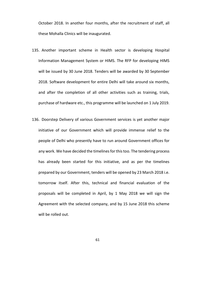October 2018. In another four months, after the recruitment of staff, all these Mohalla Clinics will be inaugurated.

- 135. Another important scheme in Health sector is developing Hospital Information Management System or HIMS. The RFP for developing HIMS will be issued by 30 June 2018. Tenders will be awarded by 30 September 2018. Software development for entire Delhi will take around six months, and after the completion of all other activities such as training, trials, purchase of hardware etc., this programme will be launched on 1 July 2019.
- 136. Doorstep Delivery of various Government services is yet another major initiative of our Government which will provide immense relief to the people of Delhi who presently have to run around Government offices for any work. We have decided the timelines for this too. The tendering process has already been started for this initiative, and as per the timelines prepared by our Government, tenders will be opened by 23 March 2018 i.e. tomorrow itself. After this, technical and financial evaluation of the proposals will be completed in April, by 1 May 2018 we will sign the Agreement with the selected company, and by 15 June 2018 this scheme will be rolled out.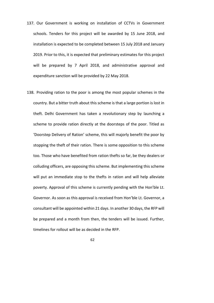- 137. Our Government is working on installation of CCTVs in Government schools. Tenders for this project will be awarded by 15 June 2018, and installation is expected to be completed between 15 July 2018 and January 2019. Prior to this, it is expected that preliminary estimates for this project will be prepared by 7 April 2018, and administrative approval and expenditure sanction will be provided by 22 May 2018.
- 138. Providing ration to the poor is among the most popular schemes in the country. But a bitter truth about this scheme is that a large portion is lost in theft. Delhi Government has taken a revolutionary step by launching a scheme to provide ration directly at the doorsteps of the poor. Titled as 'Doorstep Delivery of Ration' scheme, this will majorly benefit the poor by stopping the theft of their ration. There is some opposition to this scheme too. Those who have benefited from ration thefts so far, be they dealers or colluding officers, are opposing this scheme. But implementing this scheme will put an immediate stop to the thefts in ration and will help alleviate poverty. Approval of this scheme is currently pending with the Hon'ble Lt. Governor. As soon as this approval is received from Hon'ble Lt. Governor, a consultant will be appointed within 21 days. In another 30 days, the RFP will be prepared and a month from then, the tenders will be issued. Further, timelines for rollout will be as decided in the RFP.
	- 62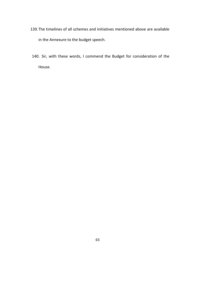- 139.The timelines of all schemes and initiatives mentioned above are available in the Annexure to the budget speech.
- 140. Sir, with these words, I commend the Budget for consideration of the House.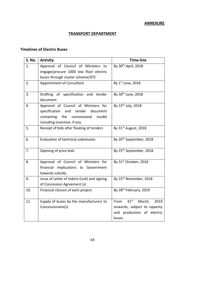# **ANNEXURE**

#### **TRANSPORT DEPARTMENT**

### **Timelines of Electric Buses**

| <b>S. No.</b>  | <b>Activity</b>                                                                                                                                      | <b>Time-line</b>                    |
|----------------|------------------------------------------------------------------------------------------------------------------------------------------------------|-------------------------------------|
| 1.             | Approval of Council of Ministers to                                                                                                                  | By 30 <sup>th</sup> April, 2018     |
|                | engage/procure 1000 low floor electric                                                                                                               |                                     |
|                | buses through cluster scheme/DTC                                                                                                                     |                                     |
| 2.             | Appointment of Consultant                                                                                                                            | By 1st June, 2018                   |
| 3.             | Drafting of specification and tender<br>document                                                                                                     | By 30 <sup>th</sup> June, 2018      |
| $\mathbf{4}$ . | Approval of Council of Ministers for<br>specification and<br>tender document<br>containing the concessional<br>model<br>including incentive, if any. | By 15 <sup>th</sup> July, 2018      |
| 5.             | Receipt of bids after floating of tenders                                                                                                            | By 31st August, 2018                |
| 6.             | Evaluation of technical submission                                                                                                                   | By 20 <sup>th</sup> September, 2018 |
| 7.             | Opening of price bids                                                                                                                                | By 25 <sup>th</sup> September, 2018 |
| 8.             | Approval of Council of Ministers for<br>financial implications to Government<br>towards subsidy                                                      | By 31st October, 2018               |
| 9.             | Issue of Letter of Indent (LoA) and signing<br>of Concession Agreement (s)                                                                           | By 15 <sup>th</sup> November, 2018  |
| 10.            | Financial closure of each project                                                                                                                    | By 28 <sup>th</sup> February, 2019  |
| 11.            | Supply of buses by the manufacturers to                                                                                                              | $31st$ March,<br>2019<br>From       |
|                | Concessionaire(s)                                                                                                                                    | onwards, subject to capacity        |
|                |                                                                                                                                                      | and production of electric          |
|                |                                                                                                                                                      | buses.                              |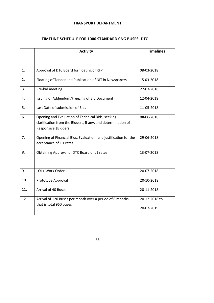# **TRANSPORT DEPARTMENT**

### **TIMELINE SCHEDULE FOR 1000 STANDARD CNG BUSES DTC**

|     | <b>Activity</b>                                                                                                                           | <b>Timelines</b>            |  |
|-----|-------------------------------------------------------------------------------------------------------------------------------------------|-----------------------------|--|
|     |                                                                                                                                           |                             |  |
| 1.  | Approval of DTC Board for floating of RFP                                                                                                 | 08-03-2018                  |  |
| 2.  | Floating of Tender and Publication of NIT in Newspapers                                                                                   | 15-03-2018                  |  |
| 3.  | Pre-bid meeting                                                                                                                           | 22-03-2018                  |  |
| 4.  | Issuing of Addendum/Freezing of Bid Document                                                                                              | 12-04-2018                  |  |
| 5.  | Last Date of submission of Bids                                                                                                           | 11-05-2018                  |  |
| 6.  | Opening and Evaluation of Technical Bids, seeking<br>clarification from the Bidders, if any, and determination of<br>Responsive   Bidders | 08-06-2018                  |  |
| 7.  | Opening of Financial Bids, Evaluation, and justification for the<br>acceptance of L 1 rates                                               | 29-06-2018                  |  |
| 8.  | Obtaining Approval of DTC Board of L1 rates                                                                                               | 13-07-2018                  |  |
| 9.  | LOI + Work Order                                                                                                                          | 20-07-2018                  |  |
| 10. | Prototype Approval                                                                                                                        | 20-10-2018                  |  |
| 11. | <b>Arrival of 40 Buses</b>                                                                                                                | 20-11-2018                  |  |
| 12. | Arrival of 120 Buses per month over a period of 8 months,<br>that is total 960 buses                                                      | 20-12-2018 to<br>20-07-2019 |  |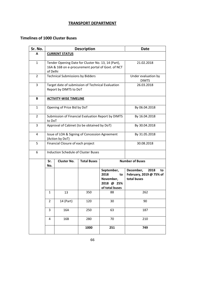# **TRANSPORT DEPARTMENT**

### **Timelines of 1000 Cluster Buses**

| Sr. No.        | <b>Description</b>                                                                                                                |                                                                             |                    |                                                                       | Date                                                              |  |  |  |
|----------------|-----------------------------------------------------------------------------------------------------------------------------------|-----------------------------------------------------------------------------|--------------------|-----------------------------------------------------------------------|-------------------------------------------------------------------|--|--|--|
| A              | <b>CURRENT STATUS</b>                                                                                                             |                                                                             |                    |                                                                       |                                                                   |  |  |  |
| $\mathbf{1}$   | Tender Opening Date for Cluster No. 13, 14 (Part),<br>21.02.2018<br>16A & 16B on e-procurement portal of Govt. of NCT<br>of Delhi |                                                                             |                    |                                                                       |                                                                   |  |  |  |
| $\overline{2}$ |                                                                                                                                   | <b>Technical Submissions by Bidders</b>                                     |                    |                                                                       | Under evaluation by<br><b>DIMTS</b>                               |  |  |  |
| 3              |                                                                                                                                   | Target date of submission of Technical Evaluation<br>Report by DIMTS to DoT | 26.03.2018         |                                                                       |                                                                   |  |  |  |
| В              | <b>ACTIVITY-WISE TIMELINE</b>                                                                                                     |                                                                             |                    |                                                                       |                                                                   |  |  |  |
| $\mathbf{1}$   | Opening of Price Bid by DoT<br>By 06.04.2018                                                                                      |                                                                             |                    |                                                                       |                                                                   |  |  |  |
| $\overline{2}$ | Submission of Financial Evaluation Report by DIMTS<br>By 16.04.2018<br>to DoT                                                     |                                                                             |                    |                                                                       |                                                                   |  |  |  |
| 3              | Approval of Cabinet (to be obtained by DoT)<br>By 30.04.2018                                                                      |                                                                             |                    |                                                                       |                                                                   |  |  |  |
| 4              |                                                                                                                                   | Issue of LOA & Signing of Concession Agreement<br>(Action by DoT)           | By 31.05.2018      |                                                                       |                                                                   |  |  |  |
| 5              |                                                                                                                                   | Financial Closure of each project                                           | 30.08.2018         |                                                                       |                                                                   |  |  |  |
| 6              | Induction Schedule of Cluster Buses                                                                                               |                                                                             |                    |                                                                       |                                                                   |  |  |  |
|                | Sr.<br>No.                                                                                                                        | <b>Cluster No.</b>                                                          | <b>Total Buses</b> |                                                                       | <b>Number of Buses</b>                                            |  |  |  |
|                |                                                                                                                                   |                                                                             |                    | September,<br>2018<br>to<br>November,<br>2018 @ 25%<br>of total buses | December,<br>2018<br>to<br>February, 2019 @ 75% of<br>total buses |  |  |  |
|                | 13<br>1                                                                                                                           |                                                                             | 350                | 88                                                                    | 262                                                               |  |  |  |
|                | 2                                                                                                                                 | 14 (Part)                                                                   | 120                | 30                                                                    | 90                                                                |  |  |  |
|                | 3<br>16A                                                                                                                          |                                                                             | 250                | 63                                                                    | 187                                                               |  |  |  |
|                | 4                                                                                                                                 | 16B                                                                         | 280                | 70                                                                    | 210                                                               |  |  |  |
|                |                                                                                                                                   |                                                                             | 749                |                                                                       |                                                                   |  |  |  |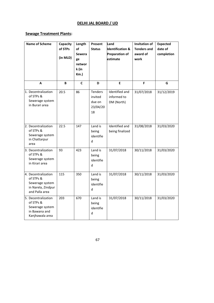# **DELHI JAL BOARD / UD**

#### **Sewage Treatment Plants:**

| <b>Name of Scheme</b>                                                                       | Capacity<br>of STPs<br>(in MLD) | Length<br>of<br><b>Sewera</b><br>ge<br>networ<br>k (in<br>$Km.$ ) | Present<br><b>Status</b>                              | Land<br><b>Identification &amp;</b><br><b>Preparation of</b><br>estimate | Invitation of<br><b>Tenders and</b><br>award of<br>work | <b>Expected</b><br>date of<br>completion |
|---------------------------------------------------------------------------------------------|---------------------------------|-------------------------------------------------------------------|-------------------------------------------------------|--------------------------------------------------------------------------|---------------------------------------------------------|------------------------------------------|
| A                                                                                           | B                               | C                                                                 | D                                                     | E                                                                        | F                                                       | G                                        |
| 1. Decentralization<br>of STPs &<br>Sewerage system<br>in Burari area                       | 20.5                            | 86                                                                | <b>Tenders</b><br>invited<br>due on<br>23/04/20<br>18 | Identified and<br>informed to<br>DM (North)                              | 31/07/2018                                              | 31/12/2019                               |
| 2. Decentralization<br>of STPs &<br>Sewerage system<br>in Chattarpur<br>area                | 22.5                            | 147                                                               | Land is<br>being<br>identifie<br>d                    | Identified and<br>being finalized                                        | 31/08/2018                                              | 31/03/2020                               |
| 3. Decentralization<br>of STPs &<br>Sewerage system<br>in Kirari area                       | 93                              | 423                                                               | Land is<br>being<br>identifie<br>d                    | 31/07/2018                                                               | 30/11/2018                                              | 31/03/2020                               |
| 4. Decentralization<br>of STPs &<br>Sewerage system<br>in Narela, Zindpur<br>and Palla area | 115                             | 350                                                               | Land is<br>being<br>identifie<br>d                    | 31/07/2018                                                               | 30/11/2018                                              | 31/03/2020                               |
| 5. Decentralization<br>of STPs &<br>Sewerage system<br>in Bawana and<br>Kanjhawala area     | 203                             | 670                                                               | Land is<br>being<br>identifie<br>d                    | 31/07/2018                                                               | 30/11/2018                                              | 31/03/2020                               |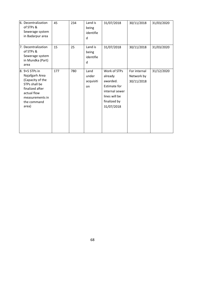| 6. Decentralization<br>of STPs &<br>Sewerage system<br>in Badarpur area                                                                            | 45  | 234 | Land is<br>being<br>identifie<br>d | 31/07/2018                                                                                                                  | 30/11/2018                               | 31/03/2020 |
|----------------------------------------------------------------------------------------------------------------------------------------------------|-----|-----|------------------------------------|-----------------------------------------------------------------------------------------------------------------------------|------------------------------------------|------------|
| 7. Decentralization<br>of STPs &<br>Sewerage system<br>in Mundka (Part)<br>area                                                                    | 15  | 25  | Land is<br>being<br>identifie<br>d | 31/07/2018                                                                                                                  | 30/11/2018                               | 31/03/2020 |
| 8. 9+5 STPs in<br>Najafgarh Area<br>(Capacity of the<br>STPs shall be<br>finalized after<br>actual flow<br>measurements in<br>the command<br>area) | 177 | 780 | Land<br>under<br>acquisiti<br>on   | Work of STPs<br>already<br>awarded.<br><b>Estimate for</b><br>internal sewer<br>lines will be<br>finalized by<br>31/07/2018 | For internal<br>Network by<br>30/11/2018 | 31/12/2020 |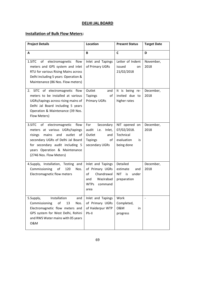### **DELHI JAL BOARD**

### **Installation of Bulk Flow Meters:**

| <b>Project Details</b>                                                                                                                                                                                                                                   | Location                                                                                                       | <b>Present Status</b>                                                       | <b>Target Date</b> |
|----------------------------------------------------------------------------------------------------------------------------------------------------------------------------------------------------------------------------------------------------------|----------------------------------------------------------------------------------------------------------------|-----------------------------------------------------------------------------|--------------------|
| A                                                                                                                                                                                                                                                        | В                                                                                                              | C                                                                           | D                  |
| 1.SITC<br>of<br>electromagnetic<br>flow<br>meters and GPS system and inlet<br>RTU for various Rising Mains across<br>Delhi including 5 years Operation &<br>Maintenance (86 Nos. Flow meters)                                                            | Inlet and Tapings<br>of Primary UGRs                                                                           | Letter of Indent<br>issued<br>on<br>21/02/2018                              | November,<br>2018  |
| 2. SITC of electromagnetic flow<br>meters to be installed at various<br>UGRs/tapings across rising mains of<br>Delhi Jal Board including 5 years<br>Operation & Maintenance (39 Nos.<br>Flow Meters)                                                     | Outlet<br>and<br><b>Tapings</b><br>of<br>Primary UGRs                                                          | It is being re-<br>invited due to<br>higher rates                           | December,<br>2018  |
| 3.SITC<br>of<br>electromagnetic<br>flow<br>meters at various UGRs/tapings<br>outlet<br>mains<br>and<br>risings<br>of<br>secondary UGRs of Delhi Jal Board<br>for secondary audit including 5<br>years Operation & Maintenance<br>(2746 Nos. Flow Meters) | Secondary<br>For<br>audit i.e.<br>Inlet,<br>Outlet<br>and<br><b>Tapings</b><br>of<br>secondary UGRs            | NIT opened on<br>07/02/2018.<br>Technical<br>evaluation<br>is<br>being done | December,<br>2018  |
| 4.Supply, Installation, Testing and<br>Commissioning<br>of<br>120<br>Nos.<br>Electromagnetic flow meters                                                                                                                                                 | Inlet and Tapings<br>of Primary UGRs<br>of<br>Chandrawal<br>Wazirabad<br>and<br><b>WTPs</b><br>command<br>area | Detailed<br>estimate<br>and<br><b>NIT</b><br>is<br>under<br>preparation     | December,<br>2018  |
| Installation<br>5.Supply,<br>and<br>Commissioning<br>13<br>οf<br>Nos.<br>Electromagnetic flow meters and<br>GPS system for West Delhi, Rohini<br>and RWS Water mains with 05 years<br>0&M                                                                | Inlet and Tapings<br>of Primary UGRs<br>of Haiderpur WTP<br>Ph-II                                              | Work<br>Completed,<br>0&M<br>in<br>progress                                 |                    |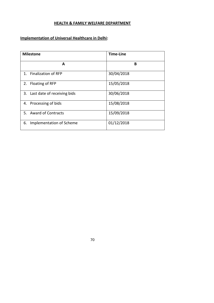# **HEALTH & FAMILY WELFARE DEPARTMENT**

### **Implementation of Universal Healthcare in Delhi:**

| <b>Milestone</b>               | <b>Time-Line</b> |  |  |
|--------------------------------|------------------|--|--|
| A                              | B                |  |  |
| 1. Finalization of RFP         | 30/04/2018       |  |  |
| 2. Floating of RFP             | 15/05/2018       |  |  |
| 3. Last date of receiving bids | 30/06/2018       |  |  |
| 4. Processing of bids          | 15/08/2018       |  |  |
| 5. Award of Contracts          | 15/09/2018       |  |  |
| Implementation of Scheme<br>6. | 01/12/2018       |  |  |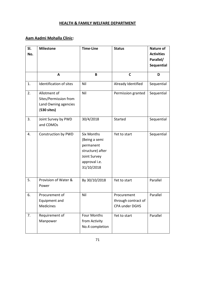# **HEALTH & FAMILY WELFARE DEPARTMENT**

# **Aam Aadmi Mohalla Clinic:**

| SI. | <b>Milestone</b>                                                               | <b>Time-Line</b>                                                                                                   | <b>Status</b>                                        | <b>Nature of</b>  |
|-----|--------------------------------------------------------------------------------|--------------------------------------------------------------------------------------------------------------------|------------------------------------------------------|-------------------|
| No. |                                                                                |                                                                                                                    |                                                      | <b>Activities</b> |
|     |                                                                                |                                                                                                                    |                                                      | Parallel/         |
|     |                                                                                |                                                                                                                    |                                                      | Sequential        |
|     | A                                                                              | B                                                                                                                  | C                                                    | D                 |
| 1.  | Identification of sites                                                        | Nil                                                                                                                | Already Identified                                   | Sequential        |
| 2.  | Allotment of<br>Sites/Permission from<br>Land Owning agencies<br>$(530$ sites) | Nil                                                                                                                | Permission granted                                   | Sequential        |
| 3.  | Joint Survey by PWD<br>and CDMOs                                               | 30/4/2018                                                                                                          | Started                                              | Sequential        |
| 4.  | Construction by PWD                                                            | <b>Six Months</b><br>(Being a semi<br>permanent<br>structure) after<br>Joint Survey<br>approval i.e.<br>31/10/2018 | Yet to start                                         | Sequential        |
| 5.  | Provision of Water &<br>Power                                                  | By 30/10/2018                                                                                                      | Yet to start                                         | Parallel          |
| 6.  | Procurement of<br>Equipment and<br><b>Medicines</b>                            | Nil                                                                                                                | Procurement<br>through contract of<br>CPA under DGHS | Parallel          |
| 7.  | Requirement of<br>Manpower                                                     | <b>Four Months</b><br>from Activity<br>No.4 completion                                                             | Yet to start                                         | Parallel          |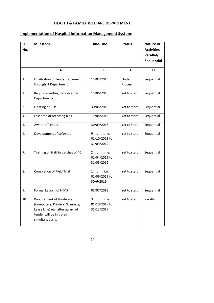# **HEALTH & FAMILY WELFARE DEPARTMENT**

#### **Implementation of Hospital Information Management System:**

| SI.<br>No. | <b>Milestone</b>                                                                                                                             | <b>Time-Line</b>                             | <b>Status</b>    | Nature of<br><b>Activities</b><br>Parallel/<br><b>Sequential</b> |
|------------|----------------------------------------------------------------------------------------------------------------------------------------------|----------------------------------------------|------------------|------------------------------------------------------------------|
|            | A                                                                                                                                            | B                                            | C                | D                                                                |
| 1.         | <b>Finalization of Tender Document</b><br>through IT Department                                                                              | 15/05/2018                                   | Under<br>Process | Sequential                                                       |
| 2.         | Requisite vetting by concerned<br>Departments                                                                                                | 15/06/2018                                   | Yet to start     | Sequential                                                       |
| 3.         | Floating of RFP                                                                                                                              | 30/06/2018                                   | Yet to start     | Sequential                                                       |
| 4.         | Last date of receiving bids                                                                                                                  | 15/08/2018                                   | Yet to start     | Sequential                                                       |
| 5.         | Award of Tender                                                                                                                              | 30/09/2018                                   | Yet to start     | Sequential                                                       |
| 6.         | Development of software                                                                                                                      | 6 months i.e.<br>01/10/2018 to<br>31/03/2019 | Yet to start     | Sequential                                                       |
| 7.         | Training of Staff in batches of 40                                                                                                           | 2 months i.e.<br>01/04/2019 to<br>31/05/2019 | Yet to start     | Sequential                                                       |
| 8.         | <b>Completion of Field Trial</b>                                                                                                             | 1 month i.e.<br>01/06/2019 to<br>30/6/2019   | Yet to start     | Sequential                                                       |
| 9.         | Formal Launch of HIMS                                                                                                                        | 01/07/2019                                   | Yet to start     | Sequential                                                       |
| 10.        | Procurement of Hardware<br>(Computers, Printers, Scanners,<br>Lease Line) etc. after award of<br>tender will be initiated<br>simultaneously. | 3 months i.e.<br>01/10/2018 to<br>31/12/2018 | Yet to start     | Parallel                                                         |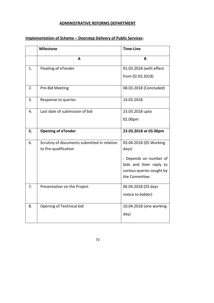# **ADMINISTRATIVE REFORMS DEPARTMENT**

|    | <b>Milestone</b>                            | <b>Time-Line</b>          |
|----|---------------------------------------------|---------------------------|
|    | A                                           | B                         |
| 1. | Floating of eTender                         | 01.03.2018 (with effect   |
|    |                                             | from 02.03.2018)          |
| 2. | Pre-Bid Meeting                             | 08.03.2018 (Concluded)    |
| 3. | Response to queries                         | 14.03.2018                |
| 4. | Last date of submission of bid              | 23.03.2018 upto           |
|    |                                             | 02.00pm                   |
| 5. | <b>Opening of eTender</b>                   | 23.03.2018 at 03.00pm     |
| 6. | Scrutiny of documents submitted in relation | 03.04.2018 (05 Working    |
|    | to Pre-qualification                        | days)                     |
|    |                                             | - Depends on number of    |
|    |                                             | bids and their reply to   |
|    |                                             | various queries sought by |
|    |                                             | the Committee.            |
| 7. | Presentation on the Project                 | 06.04.2018 (03 days       |
|    |                                             | notice to bidder)         |
| 8. | Opening of Technical bid                    | 10.04.2018 (one working   |
|    |                                             | day)                      |

# **Implementation of Scheme – Doorstep Delivery of Public Services:**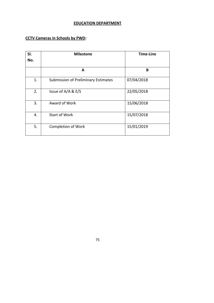# **EDUCATION DEPARTMENT**

#### **CCTV Cameras in Schools by PWD:**

| SI.<br>No. | <b>Milestone</b>                    | <b>Time-Line</b> |
|------------|-------------------------------------|------------------|
|            | A                                   | B                |
| 1.         | Submission of Preliminary Estimates | 07/04/2018       |
| 2.         | Issue of A/A & E/S                  | 22/05/2018       |
| 3.         | Award of Work                       | 15/06/2018       |
| 4.         | <b>Start of Work</b>                | 15/07/2018       |
| 5.         | Completion of Work                  | 15/01/2019       |